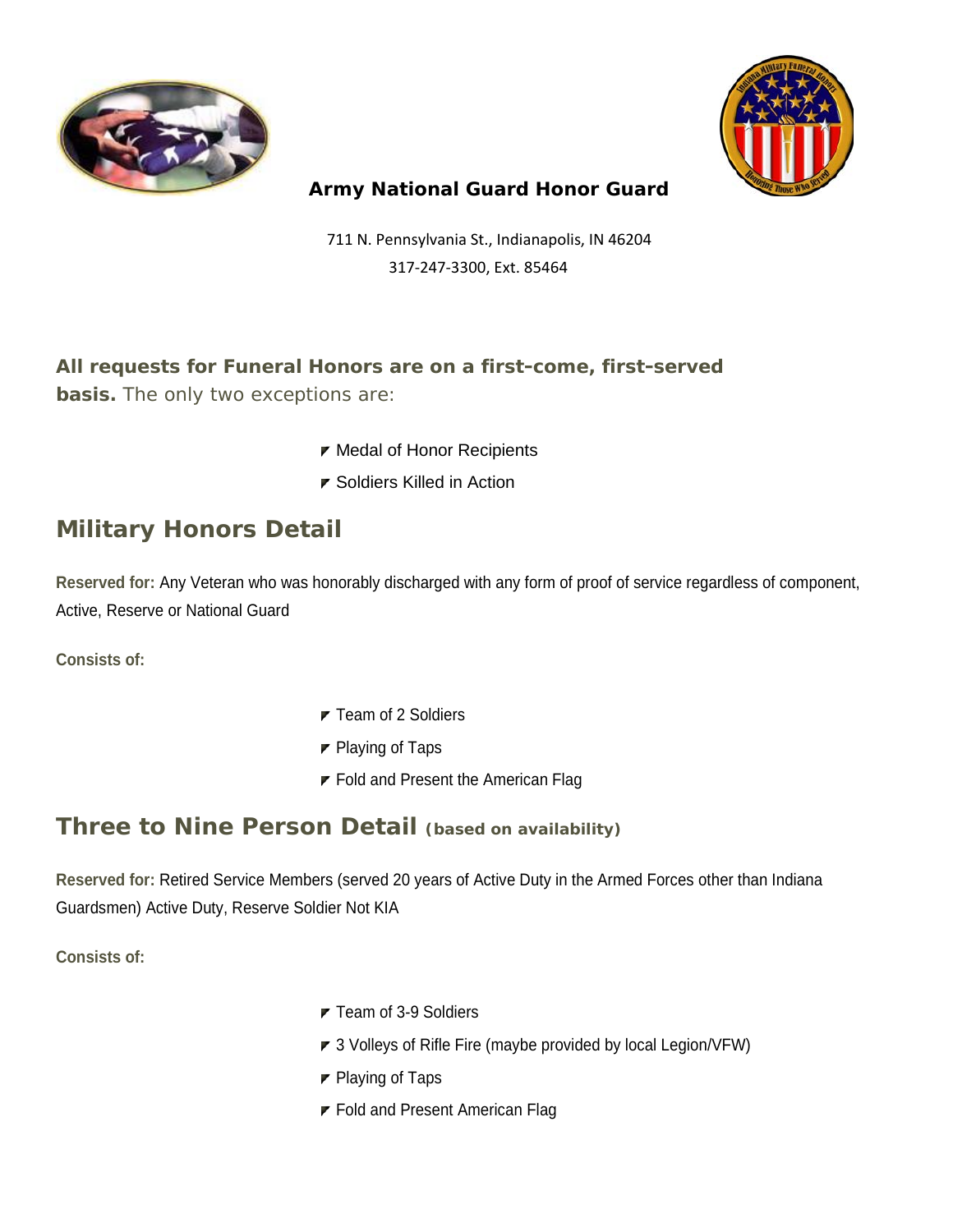



#### **Army National Guard Honor Guard**

 711 N. Pennsylvania St., Indianapolis, IN 46204 317-247-3300, Ext. 85464

**All requests for Funeral Honors are on a first-come, first-served basis.** The only two exceptions are:

- $\blacktriangleright$  Medal of Honor Recipients
- Soldiers Killed in Action

# **Military Honors Detail**

**Reserved for:** Any Veteran who was honorably discharged with any form of proof of service regardless of component, Active, Reserve or National Guard

**Consists of:** 

- $\blacktriangleright$  Team of 2 Soldiers
- $\blacktriangleright$  Playing of Taps
- $\blacktriangleright$  Fold and Present the American Flag

## **Three to Nine Person Detail (based on availability)**

**Reserved for:** Retired Service Members (served 20 years of Active Duty in the Armed Forces other than Indiana Guardsmen) Active Duty, Reserve Soldier Not KIA

**Consists of:** 

- $\blacktriangleright$  Team of 3-9 Soldiers
- ▼ 3 Volleys of Rifle Fire (maybe provided by local Legion/VFW)
- $\blacktriangleright$  Playing of Taps
- **F** Fold and Present American Flag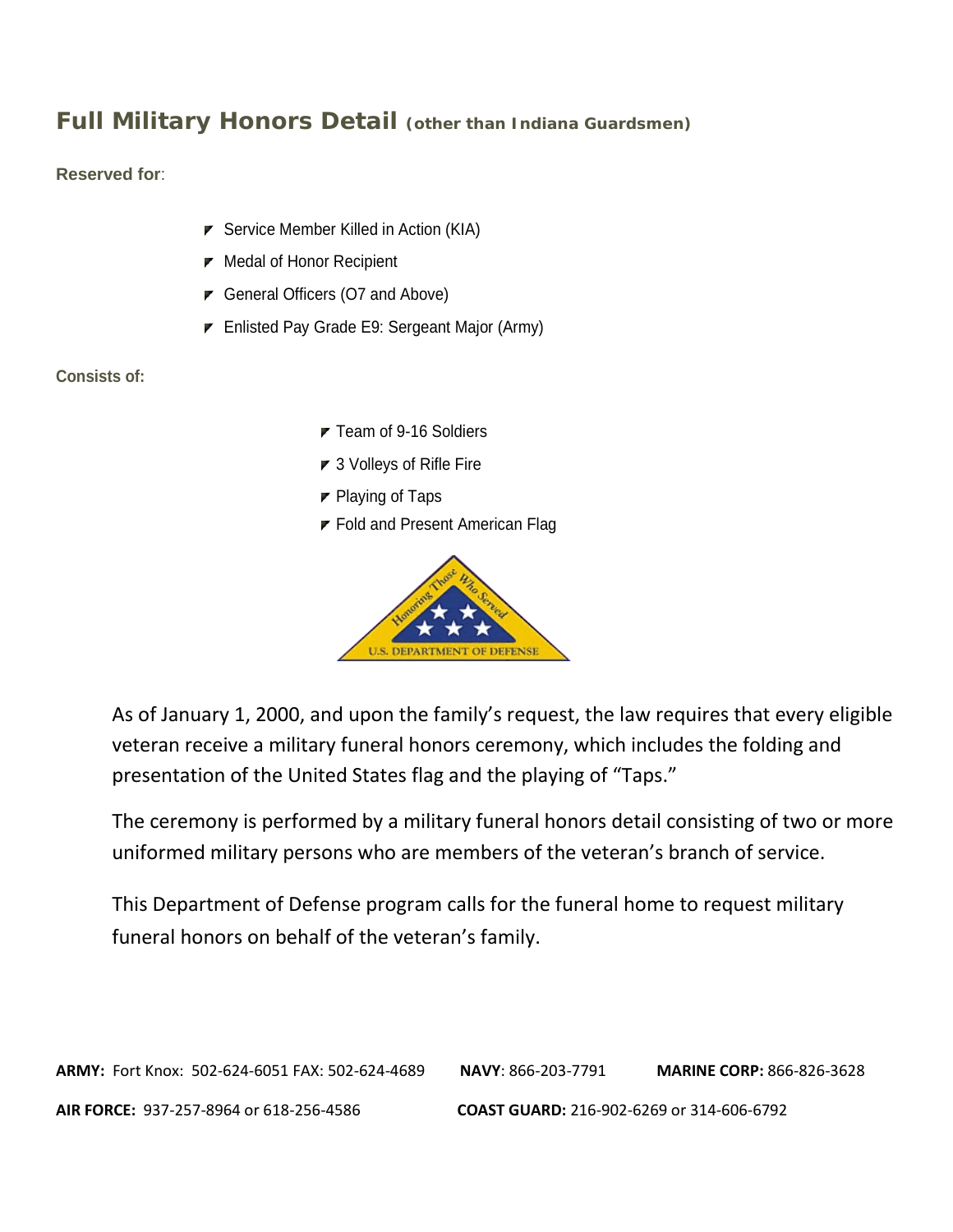## **Full Military Honors Detail (other than Indiana Guardsmen)**

**Reserved for**:

- $\triangleright$  Service Member Killed in Action (KIA)
- $\blacktriangleright$  Medal of Honor Recipient
- General Officers (O7 and Above)
- Enlisted Pay Grade E9: Sergeant Major (Army)

**Consists of:** 

- ▼ Team of 9-16 Soldiers
- 3 Volleys of Rifle Fire
- $\blacktriangleright$  Playing of Taps
- **F** Fold and Present American Flag



As of January 1, 2000, and upon the family's request, the law requires that every eligible veteran receive a military funeral honors ceremony, which includes the folding and presentation of the United States flag and the playing of "Taps."

The ceremony is performed by a military funeral honors detail consisting of two or more uniformed military persons who are members of the veteran's branch of service.

This Department of Defense program calls for the funeral home to request military funeral honors on behalf of the veteran's family.